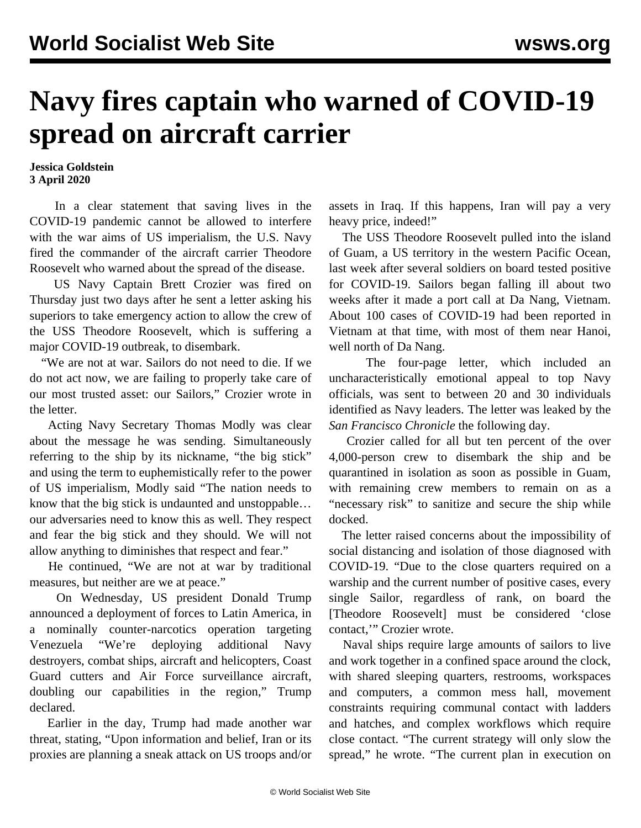## **Navy fires captain who warned of COVID-19 spread on aircraft carrier**

## **Jessica Goldstein 3 April 2020**

 In a clear statement that saving lives in the COVID-19 pandemic cannot be allowed to interfere with the war aims of US imperialism, the U.S. Navy fired the commander of the aircraft carrier Theodore Roosevelt who warned about the spread of the disease.

 US Navy Captain Brett Crozier was fired on Thursday just two days after he sent a letter asking his superiors to take emergency action to allow the crew of the USS Theodore Roosevelt, which is suffering a major COVID-19 outbreak, to disembark.

 "We are not at war. Sailors do not need to die. If we do not act now, we are failing to properly take care of our most trusted asset: our Sailors," Crozier wrote in the letter.

 Acting Navy Secretary Thomas Modly was clear about the message he was sending. Simultaneously referring to the ship by its nickname, "the big stick" and using the term to euphemistically refer to the power of US imperialism, Modly said "The nation needs to know that the big stick is undaunted and unstoppable… our adversaries need to know this as well. They respect and fear the big stick and they should. We will not allow anything to diminishes that respect and fear."

 He continued, "We are not at war by traditional measures, but neither are we at peace."

 On Wednesday, US president Donald Trump announced a deployment of forces to Latin America, in a nominally counter-narcotics operation targeting Venezuela "We're deploying additional Navy destroyers, combat ships, aircraft and helicopters, Coast Guard cutters and Air Force surveillance aircraft, doubling our capabilities in the region," Trump declared.

 Earlier in the day, Trump had made another war threat, stating, "Upon information and belief, Iran or its proxies are planning a sneak attack on US troops and/or assets in Iraq. If this happens, Iran will pay a very heavy price, indeed!"

 The USS Theodore Roosevelt pulled into the island of Guam, a US territory in the western Pacific Ocean, last week after several soldiers on board tested positive for COVID-19. Sailors began falling ill about two weeks after it made a port call at Da Nang, Vietnam. About 100 cases of COVID-19 had been reported in Vietnam at that time, with most of them near Hanoi, well north of Da Nang.

 The four-page letter, which included an uncharacteristically emotional appeal to top Navy officials, was sent to between 20 and 30 individuals identified as Navy leaders. The letter was leaked by the *San Francisco Chronicle* the following day.

 Crozier called for all but ten percent of the over 4,000-person crew to disembark the ship and be quarantined in isolation as soon as possible in Guam, with remaining crew members to remain on as a "necessary risk" to sanitize and secure the ship while docked.

 The letter raised concerns about the impossibility of social distancing and isolation of those diagnosed with COVID-19. "Due to the close quarters required on a warship and the current number of positive cases, every single Sailor, regardless of rank, on board the [Theodore Roosevelt] must be considered 'close contact,'" Crozier wrote.

 Naval ships require large amounts of sailors to live and work together in a confined space around the clock, with shared sleeping quarters, restrooms, workspaces and computers, a common mess hall, movement constraints requiring communal contact with ladders and hatches, and complex workflows which require close contact. "The current strategy will only slow the spread," he wrote. "The current plan in execution on